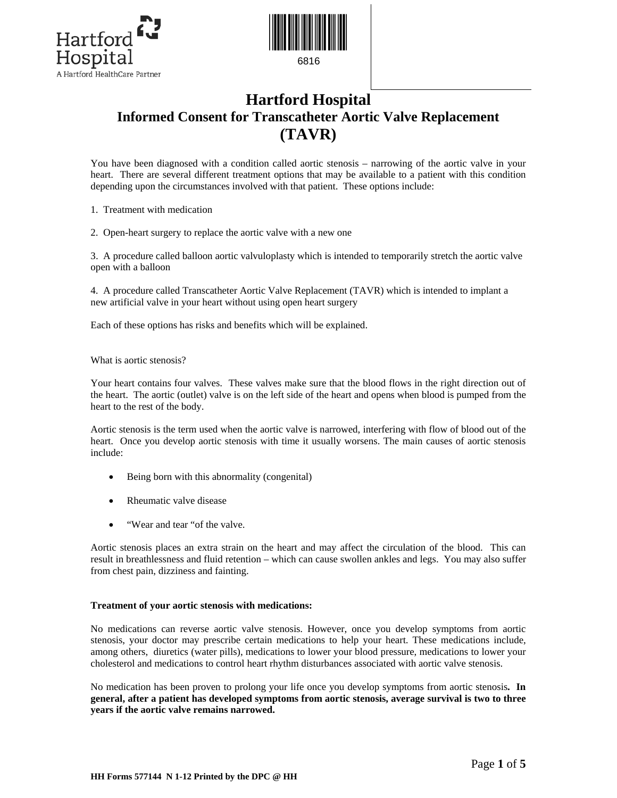



# **Hartford Hospital Informed Consent for Transcatheter Aortic Valve Replacement (TAVR)**

You have been diagnosed with a condition called aortic stenosis – narrowing of the aortic valve in your heart. There are several different treatment options that may be available to a patient with this condition depending upon the circumstances involved with that patient. These options include:

1. Treatment with medication

2. Open-heart surgery to replace the aortic valve with a new one

3. A procedure called balloon aortic valvuloplasty which is intended to temporarily stretch the aortic valve open with a balloon

4. A procedure called Transcatheter Aortic Valve Replacement (TAVR) which is intended to implant a new artificial valve in your heart without using open heart surgery

Each of these options has risks and benefits which will be explained.

What is aortic stenosis?

Your heart contains four valves. These valves make sure that the blood flows in the right direction out of the heart. The aortic (outlet) valve is on the left side of the heart and opens when blood is pumped from the heart to the rest of the body.

Aortic stenosis is the term used when the aortic valve is narrowed, interfering with flow of blood out of the heart. Once you develop aortic stenosis with time it usually worsens. The main causes of aortic stenosis include:

- Being born with this abnormality (congenital)
- Rheumatic valve disease
- "Wear and tear "of the valve.

Aortic stenosis places an extra strain on the heart and may affect the circulation of the blood. This can result in breathlessness and fluid retention – which can cause swollen ankles and legs. You may also suffer from chest pain, dizziness and fainting.

### **Treatment of your aortic stenosis with medications:**

No medications can reverse aortic valve stenosis. However, once you develop symptoms from aortic stenosis, your doctor may prescribe certain medications to help your heart. These medications include, among others, diuretics (water pills), medications to lower your blood pressure, medications to lower your cholesterol and medications to control heart rhythm disturbances associated with aortic valve stenosis.

No medication has been proven to prolong your life once you develop symptoms from aortic stenosis**. In general, after a patient has developed symptoms from aortic stenosis, average survival is two to three years if the aortic valve remains narrowed.**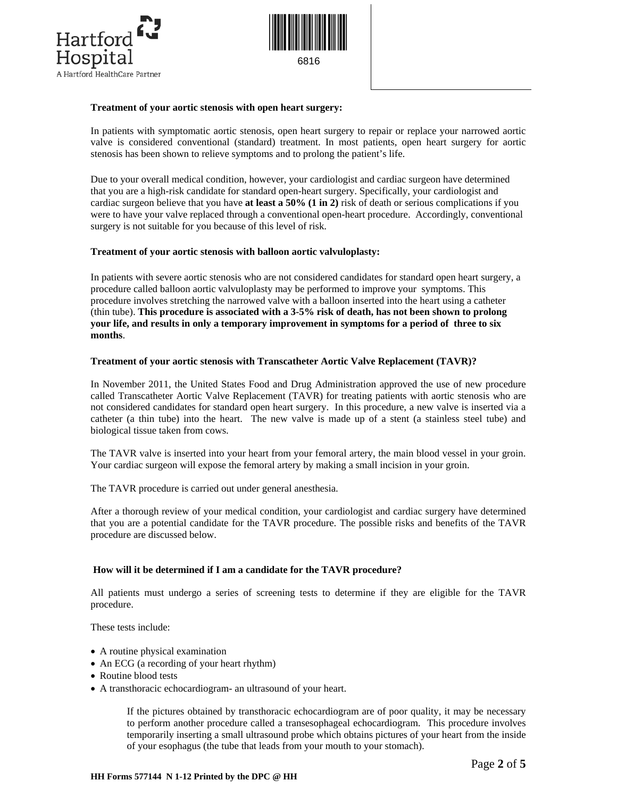



## **Treatment of your aortic stenosis with open heart surgery:**

In patients with symptomatic aortic stenosis, open heart surgery to repair or replace your narrowed aortic valve is considered conventional (standard) treatment. In most patients, open heart surgery for aortic stenosis has been shown to relieve symptoms and to prolong the patient's life.

Due to your overall medical condition, however, your cardiologist and cardiac surgeon have determined that you are a high-risk candidate for standard open-heart surgery. Specifically, your cardiologist and cardiac surgeon believe that you have **at least a 50% (1 in 2)** risk of death or serious complications if you were to have your valve replaced through a conventional open-heart procedure. Accordingly, conventional surgery is not suitable for you because of this level of risk.

# **Treatment of your aortic stenosis with balloon aortic valvuloplasty:**

In patients with severe aortic stenosis who are not considered candidates for standard open heart surgery, a procedure called balloon aortic valvuloplasty may be performed to improve your symptoms. This procedure involves stretching the narrowed valve with a balloon inserted into the heart using a catheter (thin tube). **This procedure is associated with a 3-5% risk of death, has not been shown to prolong your life, and results in only a temporary improvement in symptoms for a period of three to six months**.

# **Treatment of your aortic stenosis with Transcatheter Aortic Valve Replacement (TAVR)?**

In November 2011, the United States Food and Drug Administration approved the use of new procedure called Transcatheter Aortic Valve Replacement (TAVR) for treating patients with aortic stenosis who are not considered candidates for standard open heart surgery. In this procedure, a new valve is inserted via a catheter (a thin tube) into the heart. The new valve is made up of a stent (a stainless steel tube) and biological tissue taken from cows.

The TAVR valve is inserted into your heart from your femoral artery, the main blood vessel in your groin. Your cardiac surgeon will expose the femoral artery by making a small incision in your groin.

The TAVR procedure is carried out under general anesthesia.

After a thorough review of your medical condition, your cardiologist and cardiac surgery have determined that you are a potential candidate for the TAVR procedure. The possible risks and benefits of the TAVR procedure are discussed below.

### **How will it be determined if I am a candidate for the TAVR procedure?**

All patients must undergo a series of screening tests to determine if they are eligible for the TAVR procedure.

These tests include:

- A routine physical examination
- An ECG (a recording of your heart rhythm)
- Routine blood tests
- A transthoracic echocardiogram- an ultrasound of your heart.

If the pictures obtained by transthoracic echocardiogram are of poor quality, it may be necessary to perform another procedure called a transesophageal echocardiogram. This procedure involves temporarily inserting a small ultrasound probe which obtains pictures of your heart from the inside of your esophagus (the tube that leads from your mouth to your stomach).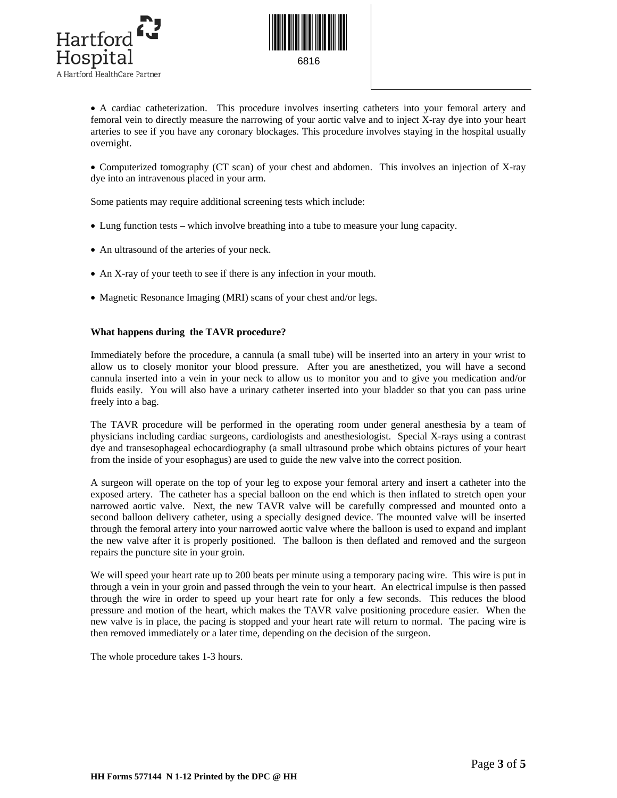



• A cardiac catheterization. This procedure involves inserting catheters into your femoral artery and femoral vein to directly measure the narrowing of your aortic valve and to inject X-ray dye into your heart arteries to see if you have any coronary blockages. This procedure involves staying in the hospital usually overnight.

• Computerized tomography (CT scan) of your chest and abdomen. This involves an injection of X-ray dye into an intravenous placed in your arm.

Some patients may require additional screening tests which include:

- Lung function tests which involve breathing into a tube to measure your lung capacity.
- An ultrasound of the arteries of your neck.
- An X-ray of your teeth to see if there is any infection in your mouth.
- Magnetic Resonance Imaging (MRI) scans of your chest and/or legs.

# **What happens during the TAVR procedure?**

Immediately before the procedure, a cannula (a small tube) will be inserted into an artery in your wrist to allow us to closely monitor your blood pressure. After you are anesthetized, you will have a second cannula inserted into a vein in your neck to allow us to monitor you and to give you medication and/or fluids easily. You will also have a urinary catheter inserted into your bladder so that you can pass urine freely into a bag.

The TAVR procedure will be performed in the operating room under general anesthesia by a team of physicians including cardiac surgeons, cardiologists and anesthesiologist. Special X-rays using a contrast dye and transesophageal echocardiography (a small ultrasound probe which obtains pictures of your heart from the inside of your esophagus) are used to guide the new valve into the correct position.

A surgeon will operate on the top of your leg to expose your femoral artery and insert a catheter into the exposed artery. The catheter has a special balloon on the end which is then inflated to stretch open your narrowed aortic valve. Next, the new TAVR valve will be carefully compressed and mounted onto a second balloon delivery catheter, using a specially designed device. The mounted valve will be inserted through the femoral artery into your narrowed aortic valve where the balloon is used to expand and implant the new valve after it is properly positioned. The balloon is then deflated and removed and the surgeon repairs the puncture site in your groin.

We will speed your heart rate up to 200 beats per minute using a temporary pacing wire. This wire is put in through a vein in your groin and passed through the vein to your heart. An electrical impulse is then passed through the wire in order to speed up your heart rate for only a few seconds. This reduces the blood pressure and motion of the heart, which makes the TAVR valve positioning procedure easier. When the new valve is in place, the pacing is stopped and your heart rate will return to normal. The pacing wire is then removed immediately or a later time, depending on the decision of the surgeon.

The whole procedure takes 1-3 hours.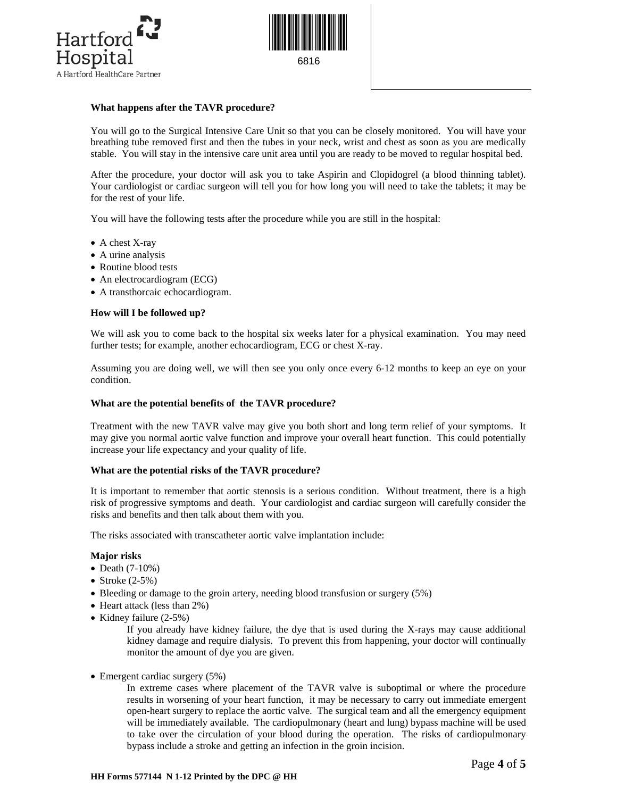



# **What happens after the TAVR procedure?**

You will go to the Surgical Intensive Care Unit so that you can be closely monitored. You will have your breathing tube removed first and then the tubes in your neck, wrist and chest as soon as you are medically stable. You will stay in the intensive care unit area until you are ready to be moved to regular hospital bed.

After the procedure, your doctor will ask you to take Aspirin and Clopidogrel (a blood thinning tablet). Your cardiologist or cardiac surgeon will tell you for how long you will need to take the tablets; it may be for the rest of your life.

You will have the following tests after the procedure while you are still in the hospital:

- A chest X-ray
- A urine analysis
- Routine blood tests
- An electrocardiogram (ECG)
- A transthorcaic echocardiogram.

# **How will I be followed up?**

We will ask you to come back to the hospital six weeks later for a physical examination. You may need further tests; for example, another echocardiogram, ECG or chest X-ray.

Assuming you are doing well, we will then see you only once every 6-12 months to keep an eye on your condition.

### **What are the potential benefits of the TAVR procedure?**

Treatment with the new TAVR valve may give you both short and long term relief of your symptoms. It may give you normal aortic valve function and improve your overall heart function. This could potentially increase your life expectancy and your quality of life.

### **What are the potential risks of the TAVR procedure?**

It is important to remember that aortic stenosis is a serious condition. Without treatment, there is a high risk of progressive symptoms and death. Your cardiologist and cardiac surgeon will carefully consider the risks and benefits and then talk about them with you.

The risks associated with transcatheter aortic valve implantation include:

### **Major risks**

- Death (7-10%)
- Stroke  $(2-5%)$
- Bleeding or damage to the groin artery, needing blood transfusion or surgery (5%)
- Heart attack (less than 2%)
- Kidney failure (2-5%)

 If you already have kidney failure, the dye that is used during the X-rays may cause additional kidney damage and require dialysis. To prevent this from happening, your doctor will continually monitor the amount of dye you are given.

• Emergent cardiac surgery (5%)

 In extreme cases where placement of the TAVR valve is suboptimal or where the procedure results in worsening of your heart function, it may be necessary to carry out immediate emergent open-heart surgery to replace the aortic valve. The surgical team and all the emergency equipment will be immediately available. The cardiopulmonary (heart and lung) bypass machine will be used to take over the circulation of your blood during the operation. The risks of cardiopulmonary bypass include a stroke and getting an infection in the groin incision.